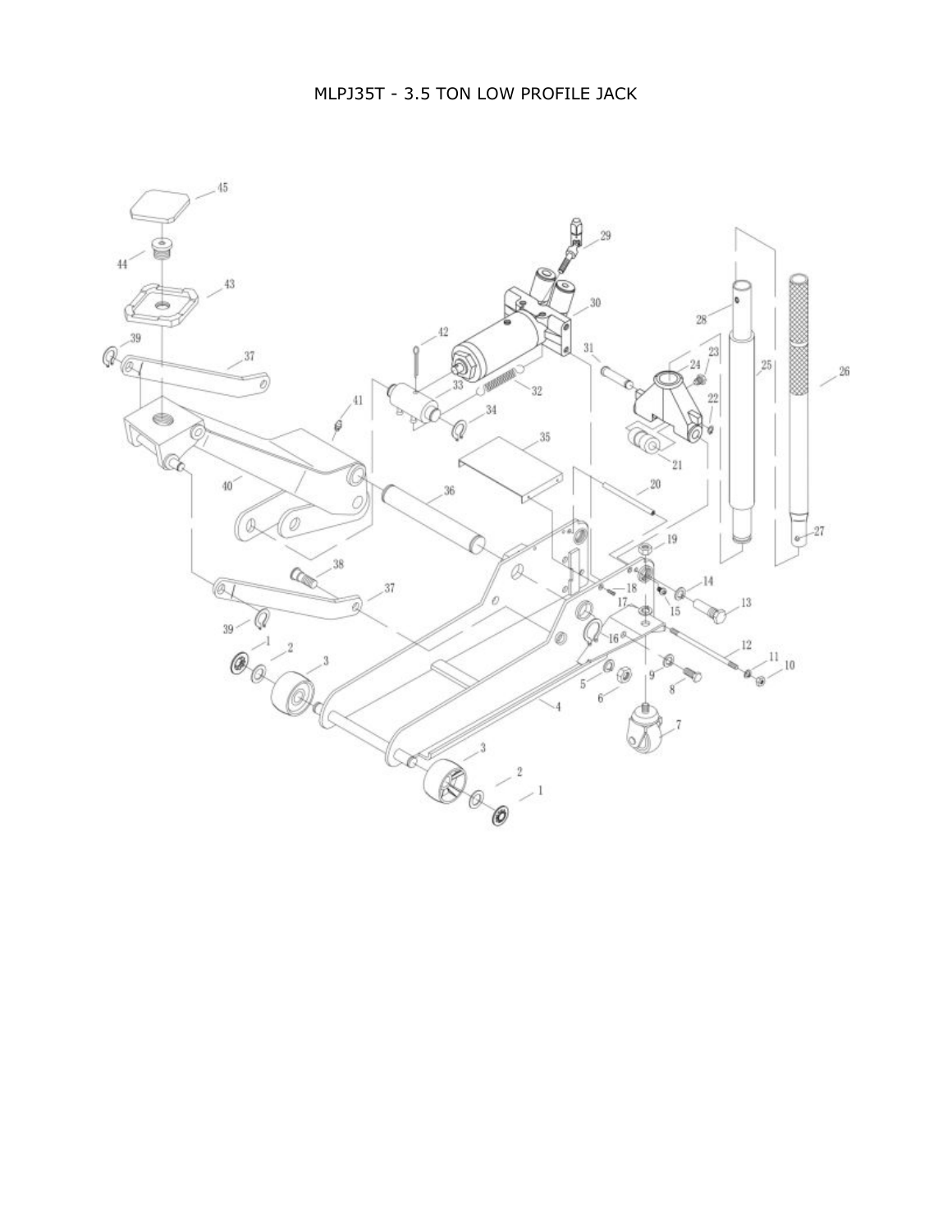